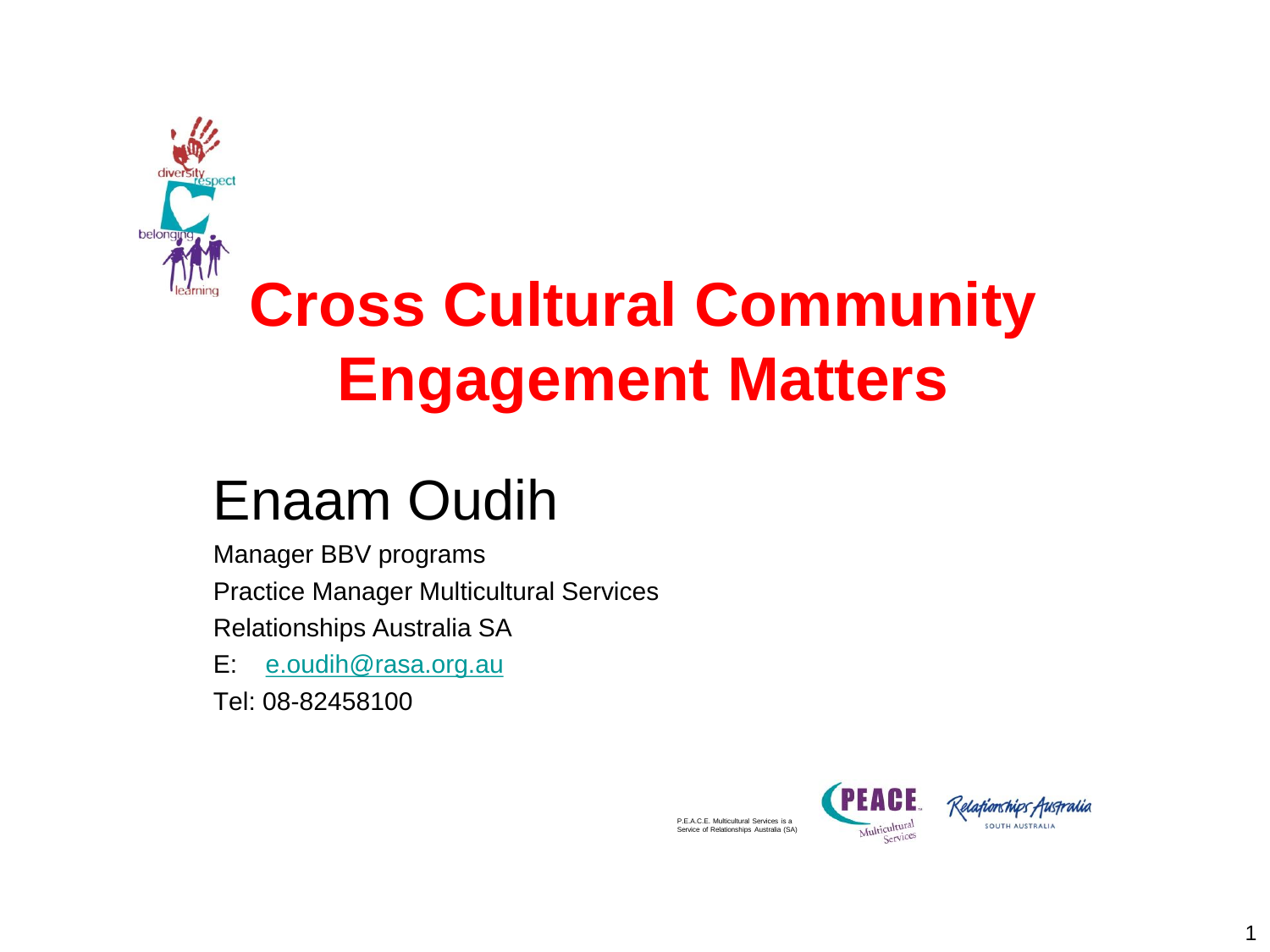

# **Cross Cultural Community Engagement Matters**

### Enaam Oudih

Manager BBV programs

Practice Manager Multicultural Services

Relationships Australia SA

E: [e.oudih@rasa.org.au](mailto:e.oudih@rasa.org.au)

Tel: 08-82458100

P.E.A.C.E. Multicultural Services is a Service of Relationships Australia (SA)



Kelafionships Australia **SOUTH AUSTRALIA**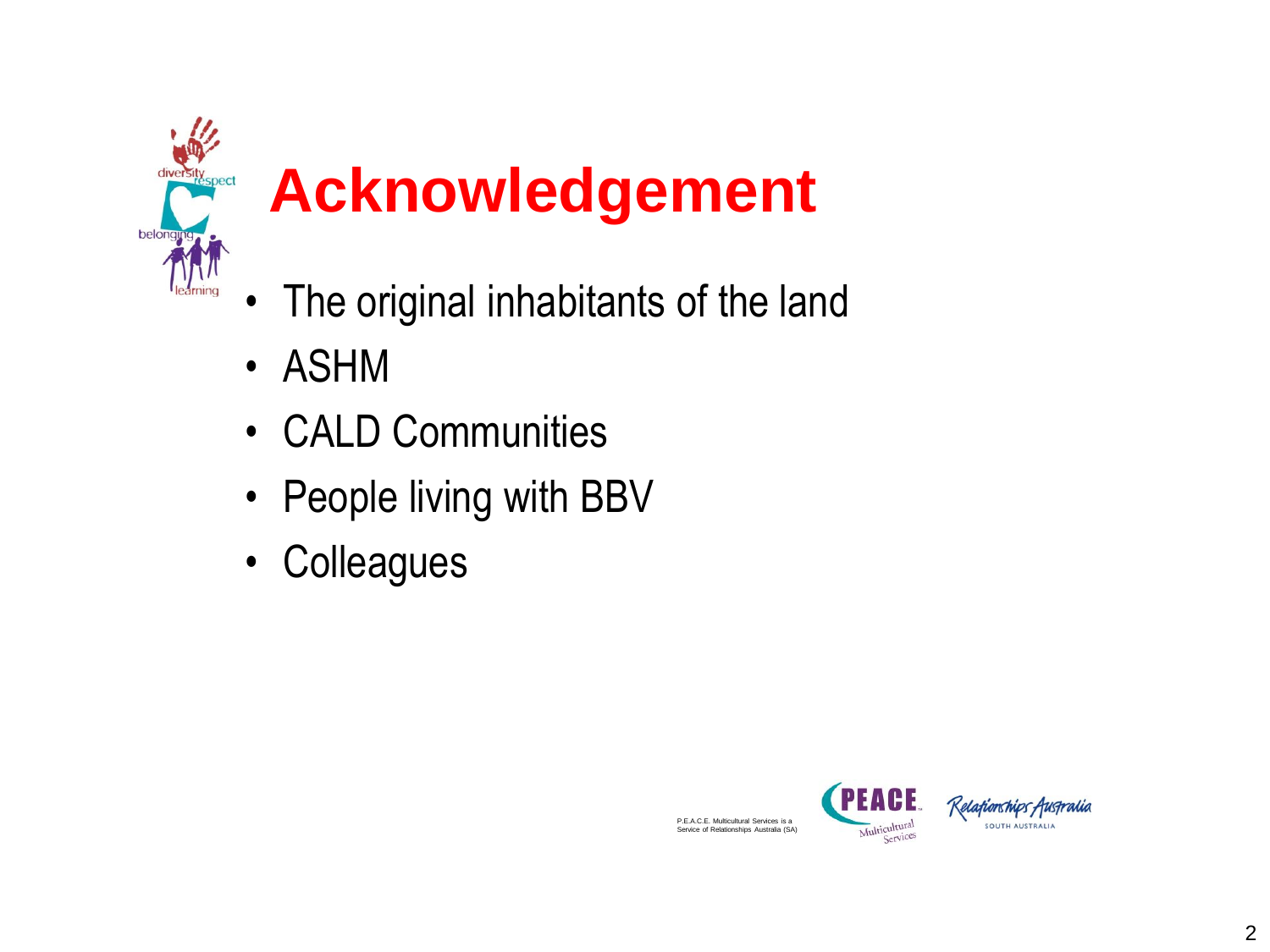

# **Acknowledgement**

- The original inhabitants of the land
- ASHM
- CALD Communities
- People living with BBV
- Colleagues



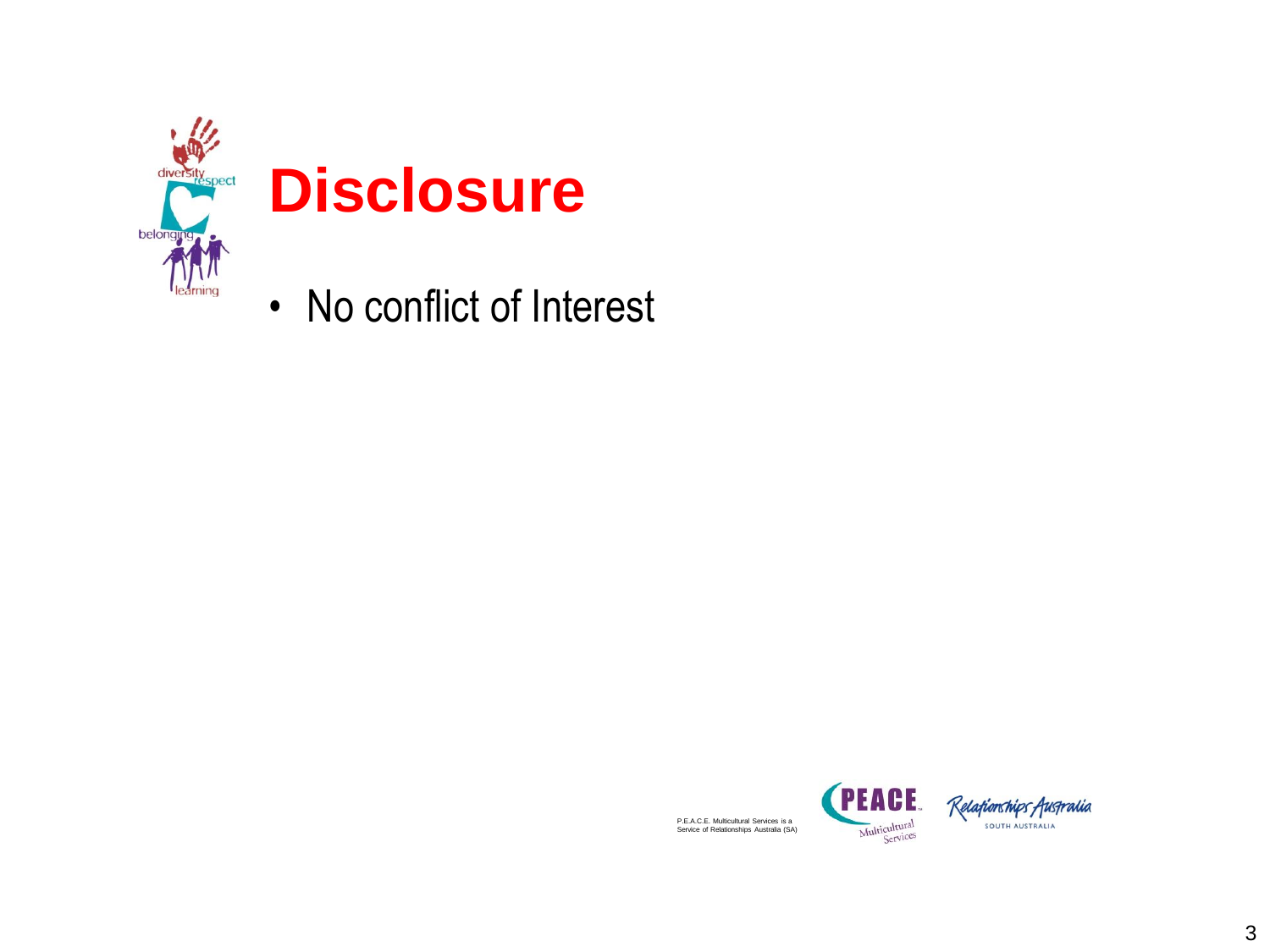

P.E.A.C.E. Multicultural Services is a Service of Relationships Australia (SA)



Relationships Australia SOUTH AUSTRALIA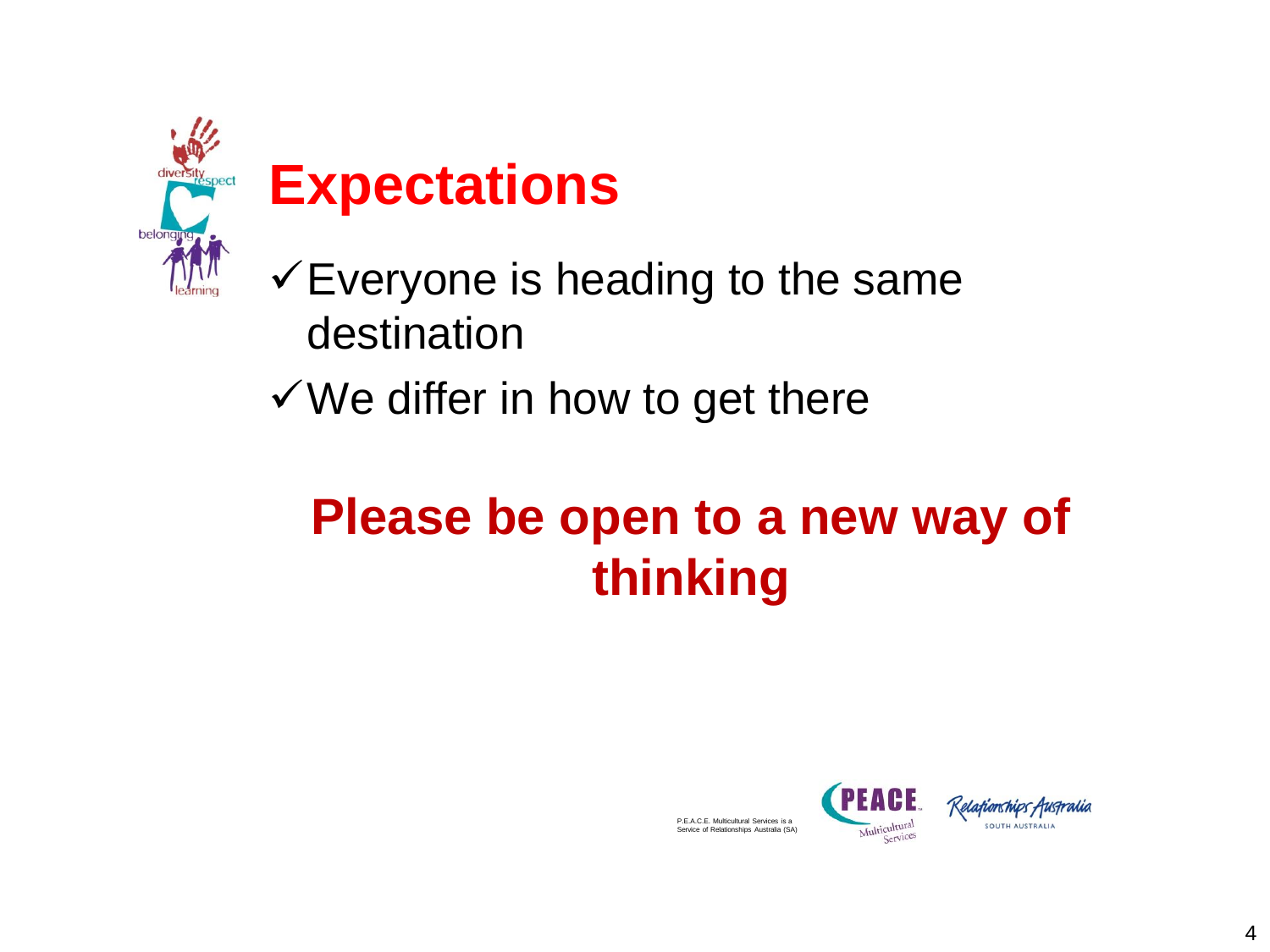

### **Expectations**

- $\checkmark$  Everyone is heading to the same destination
- $\checkmark$  We differ in how to get there

### **Please be open to a new way of thinking**



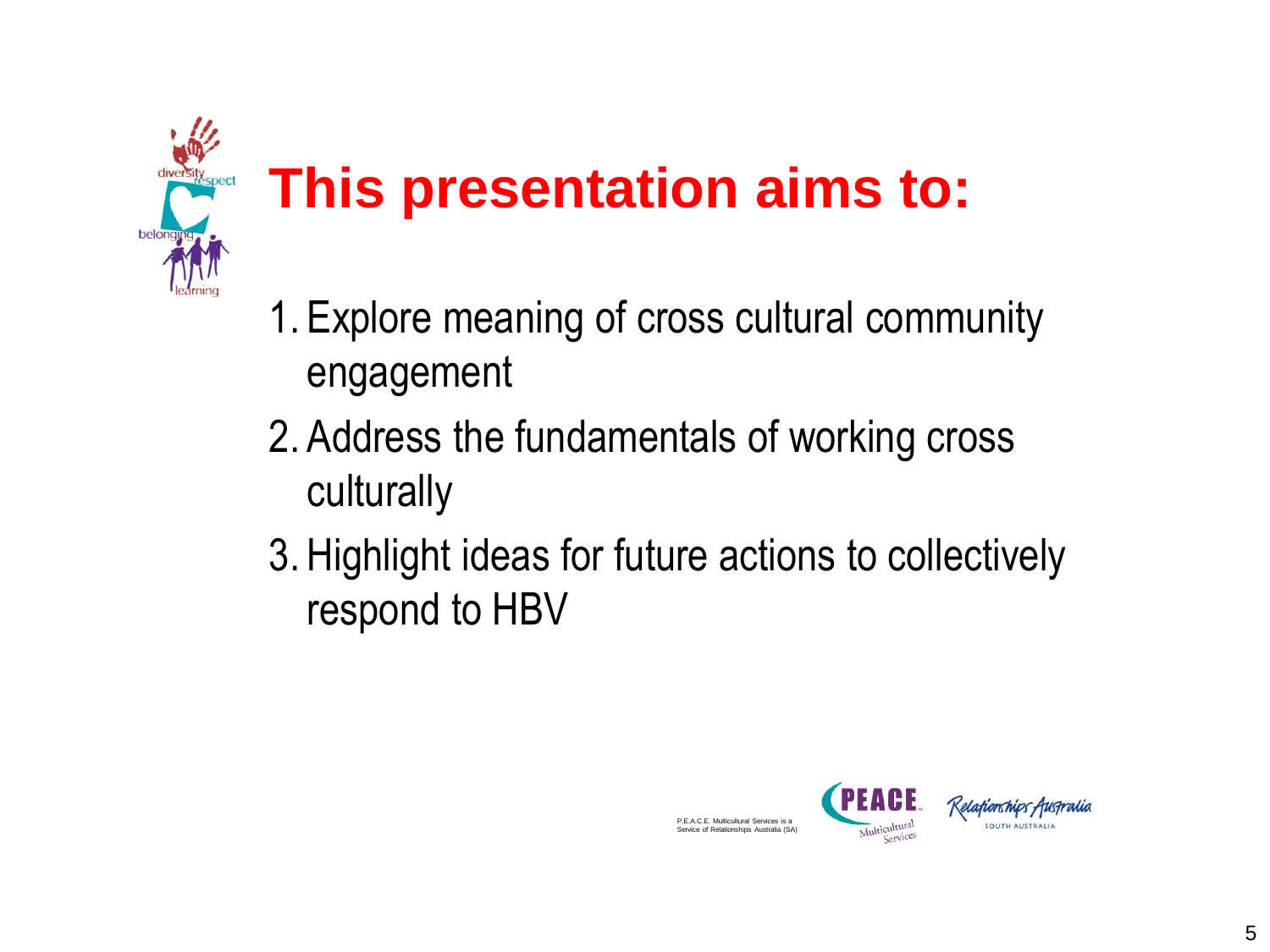

## **This presentation aims to:**

- 1. Explore meaning of cross cultural community engagement
- 2. Address the fundamentals of working cross culturally
- 3. Highlight ideas for future actions to collectively respond to HBV



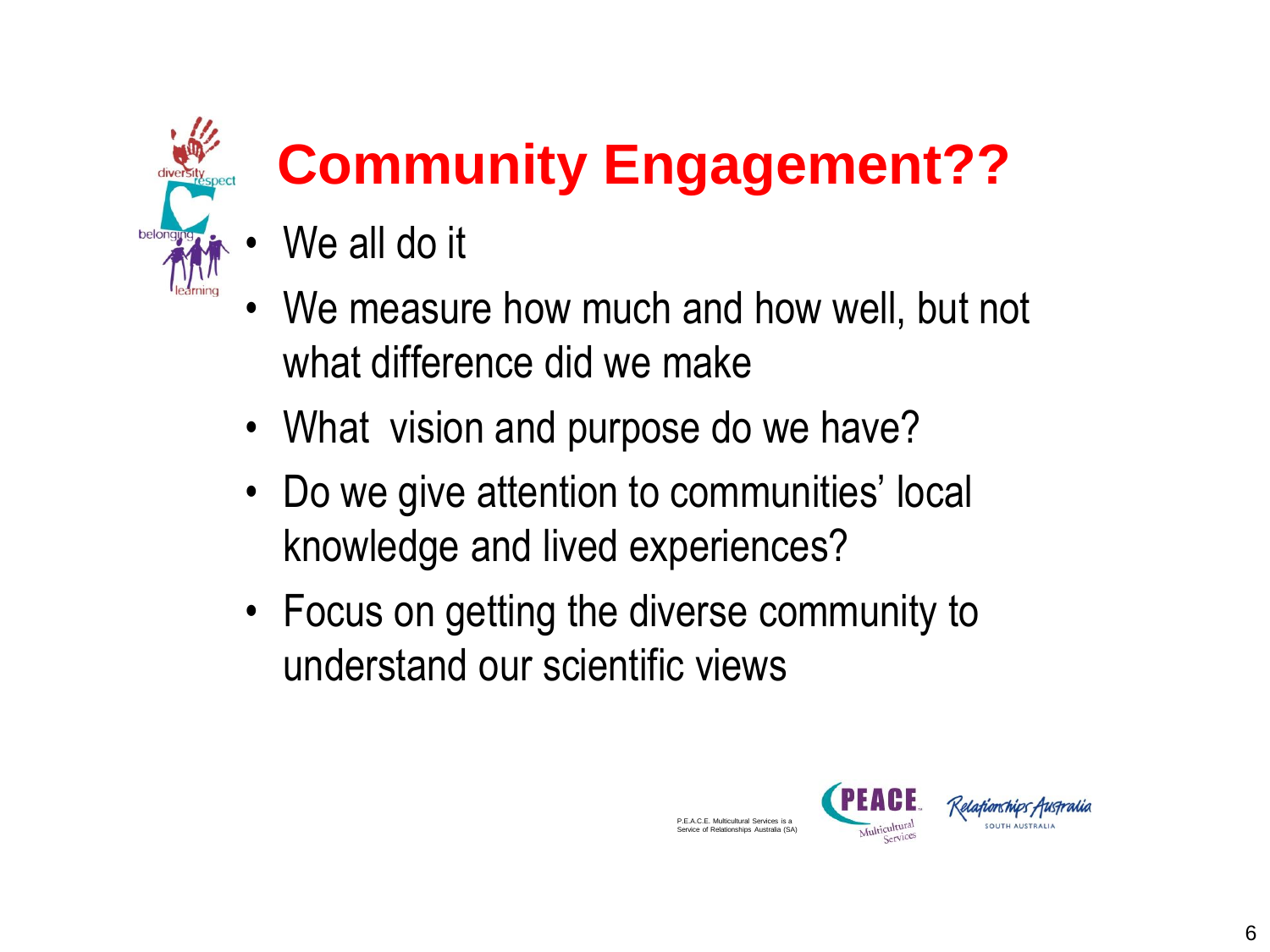# **Community Engagement??**

- We all do it
- We measure how much and how well, but not what difference did we make
- What vision and purpose do we have?
- Do we give attention to communities' local knowledge and lived experiences?
- Focus on getting the diverse community to understand our scientific views

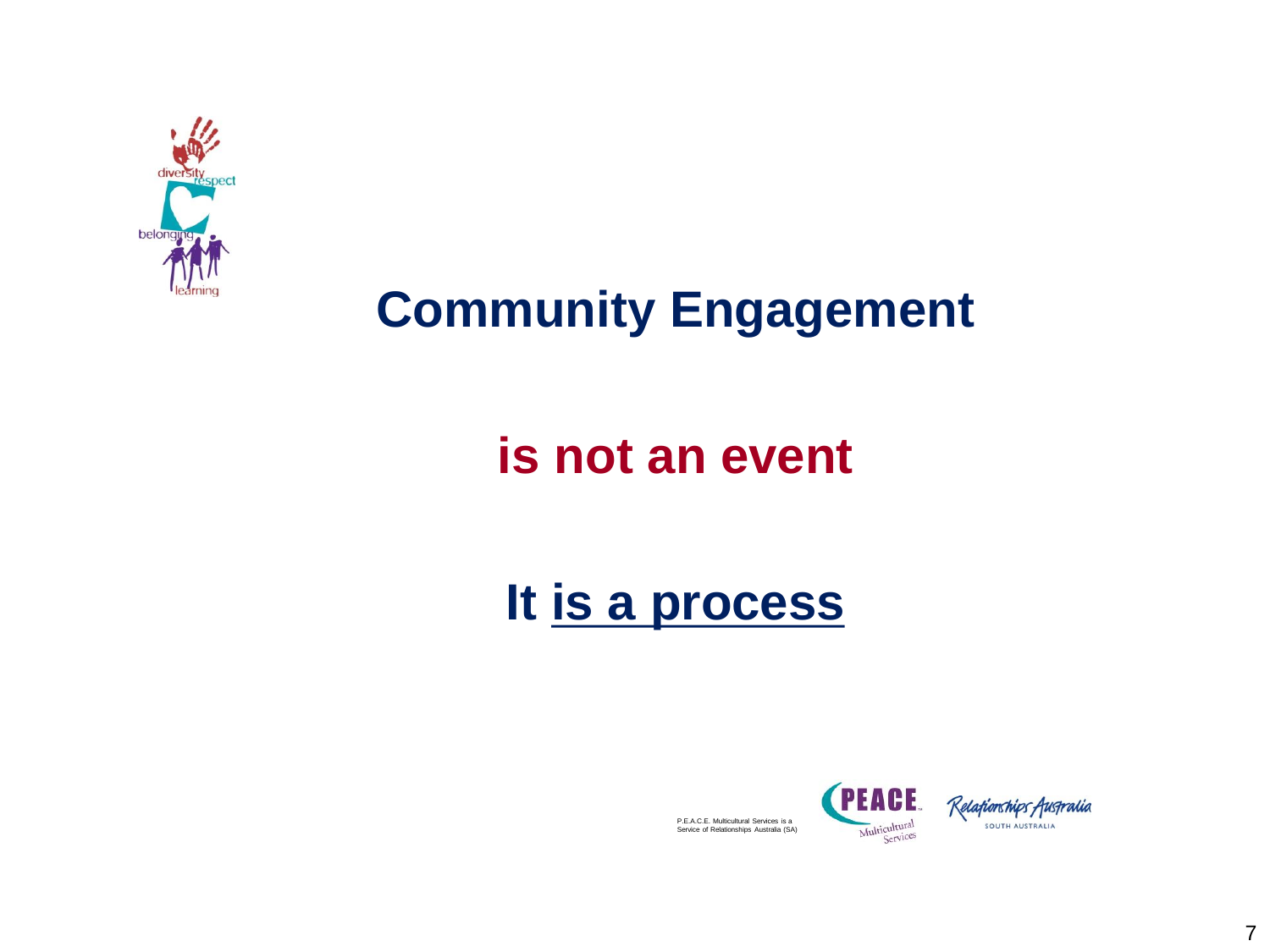

#### **Community Engagement**

#### **is not an event**

#### **It is a process**

P.E.A.C.E. Multicultural Services is a Service of Relationships Australia (SA)

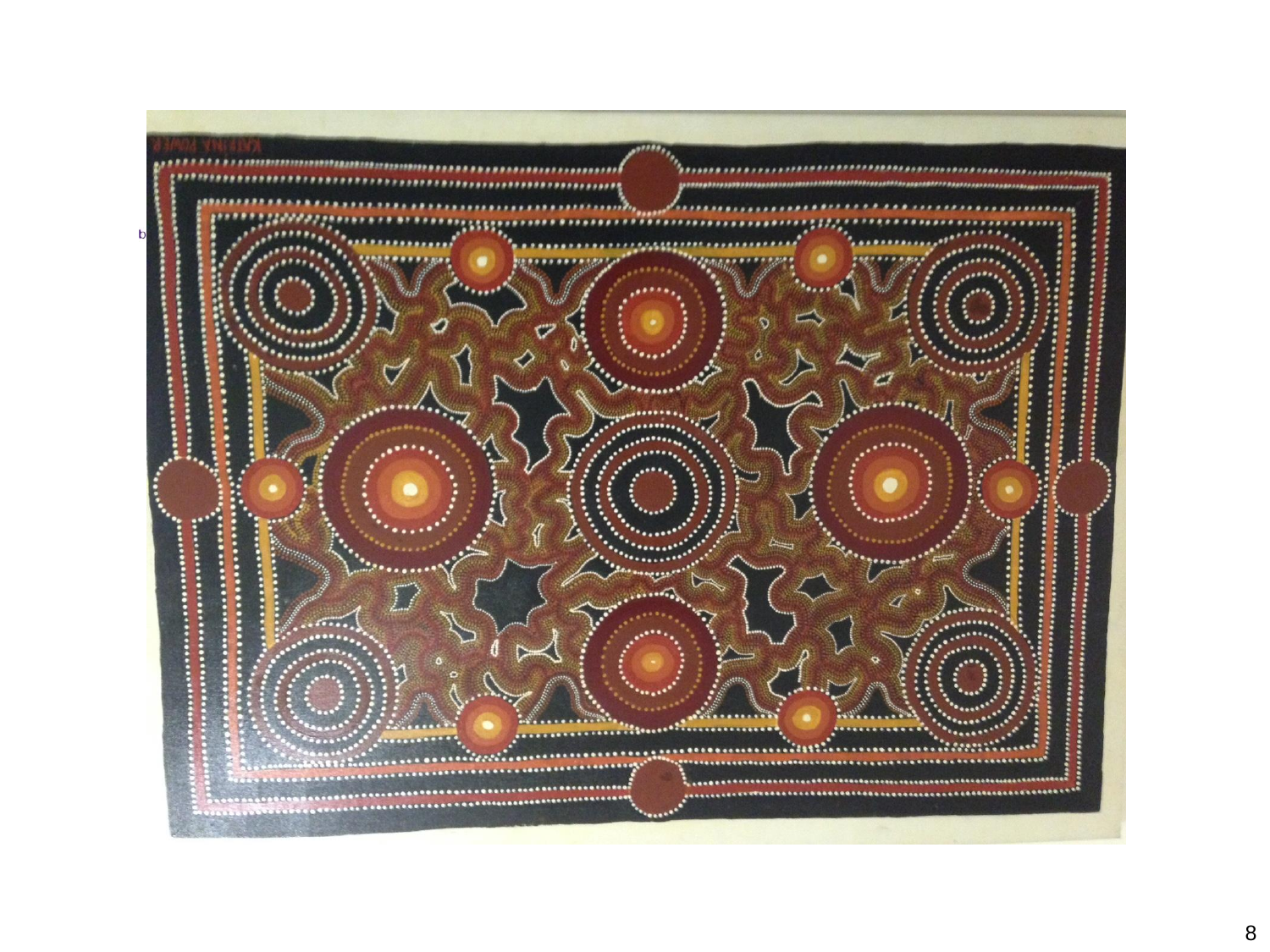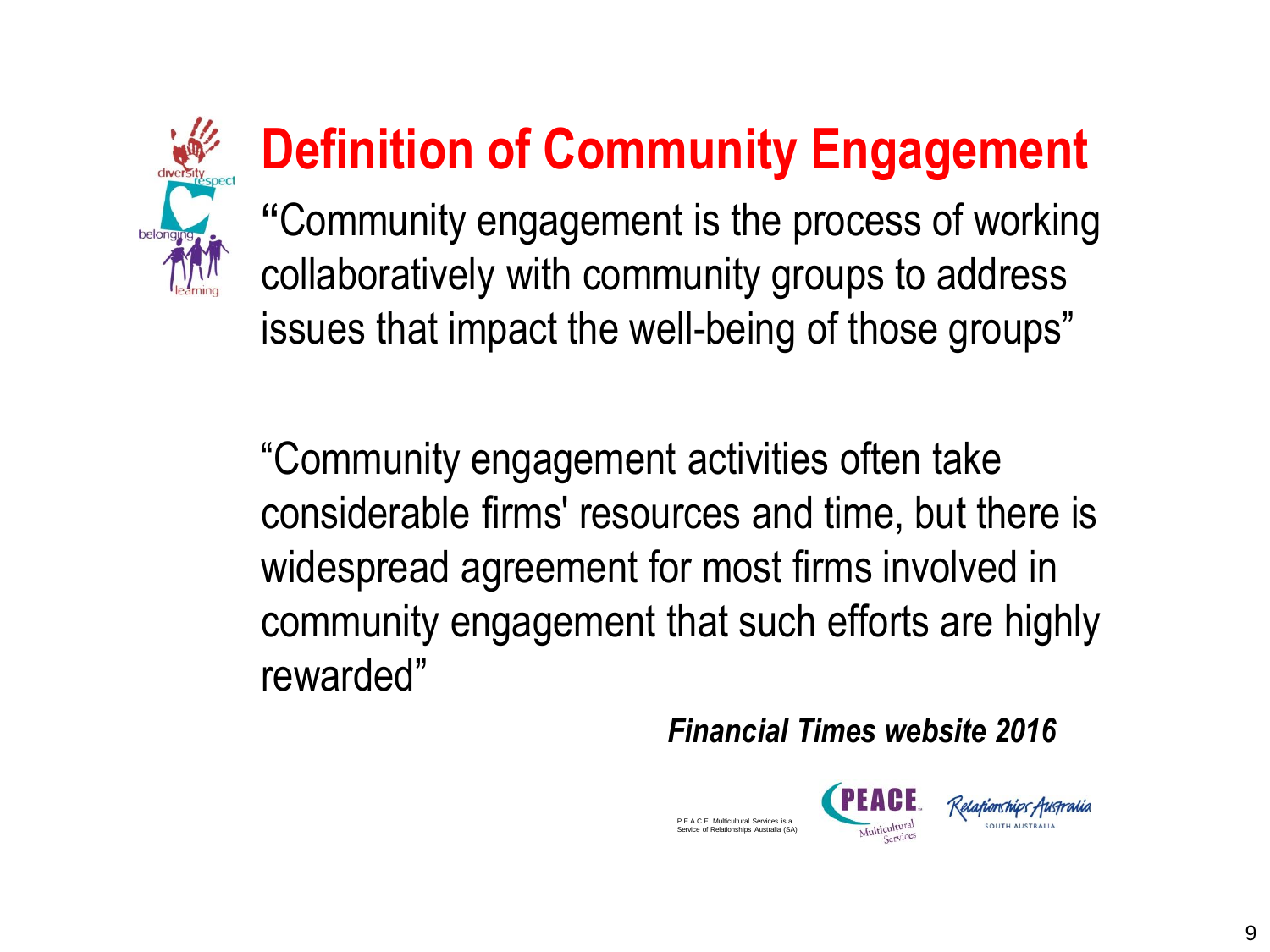

## **Definition of Community Engagement**

**"**Community engagement is the process of working collaboratively with community groups to address issues that impact the well-being of those groups"

"Community engagement activities often take considerable firms' resources and time, but there is widespread agreement for most firms involved in community engagement that such efforts are highly rewarded"

*Financial Times website 2016*

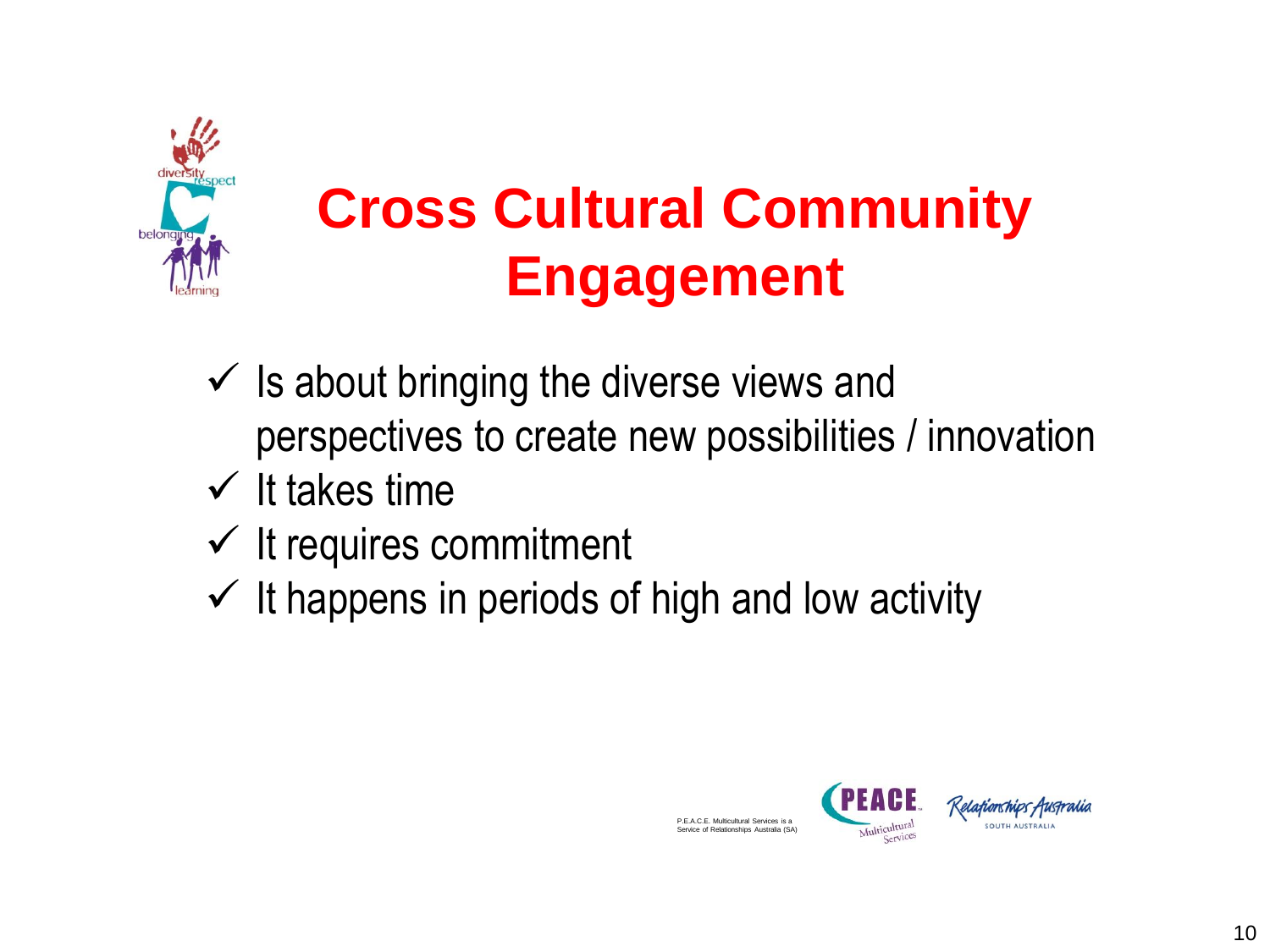

## **Cross Cultural Community Engagement**

- $\checkmark$  Is about bringing the diverse views and perspectives to create new possibilities / innovation
- $\checkmark$  It takes time
- $\checkmark$  It requires commitment
- $\checkmark$  It happens in periods of high and low activity



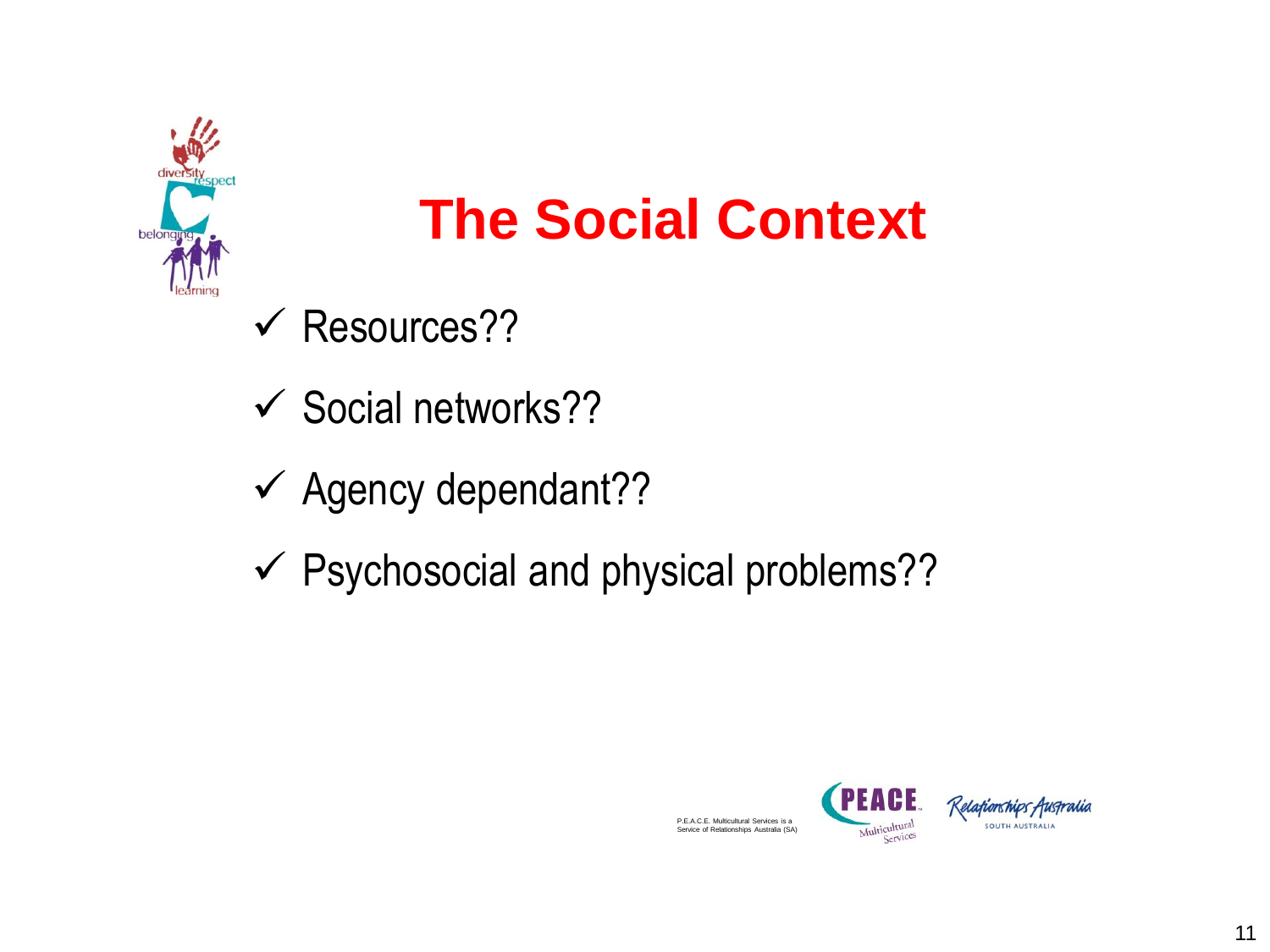

## **The Social Context**

- $\checkmark$  Resources??
- $\checkmark$  Social networks??
- $\checkmark$  Agency dependant??
- $\checkmark$  Psychosocial and physical problems??



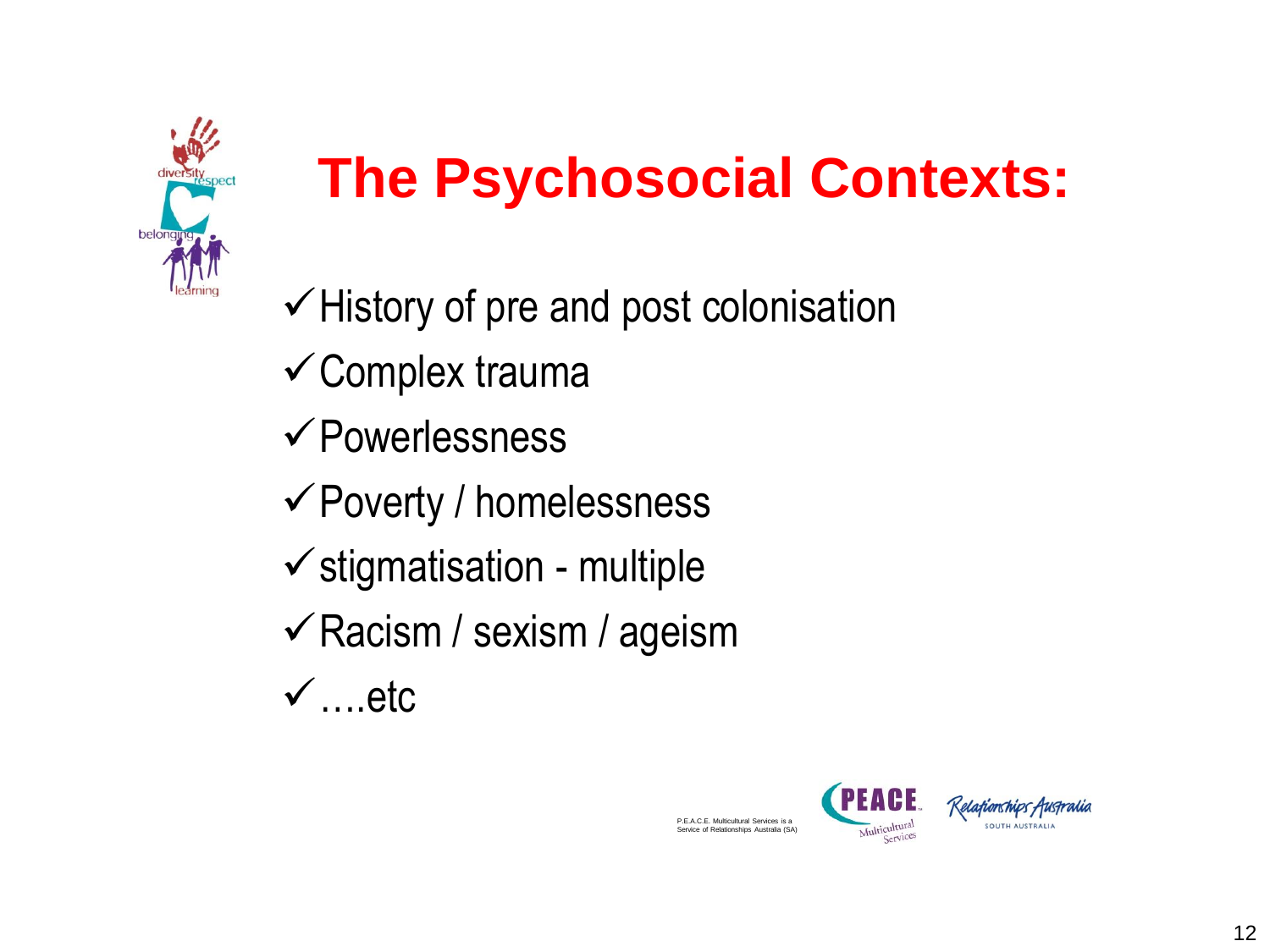

## **The Psychosocial Contexts:**

- $\checkmark$  History of pre and post colonisation
- Complex trauma
- Powerlessness
- Poverty / homelessness
- $\checkmark$  stigmatisation multiple
- $\checkmark$  Racism / sexism / ageism
- $\checkmark$  ....etc



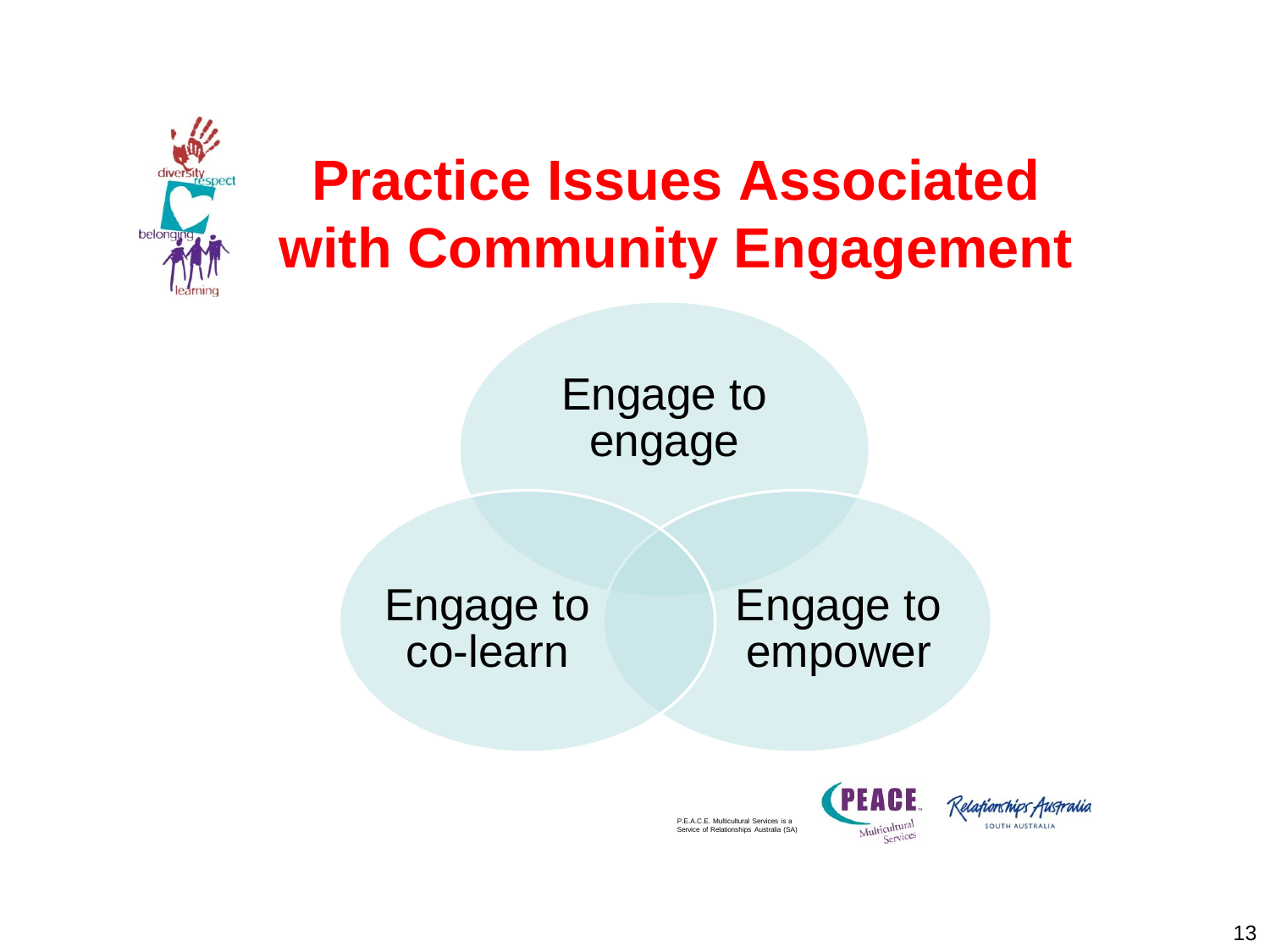

## **Practice Issues Associated with Community Engagement**

Engage to engage

Engage to co-learn

Engage to empower

P.E.A.C.E. Multicultural Services is a Service of Relationships Australia (SA)

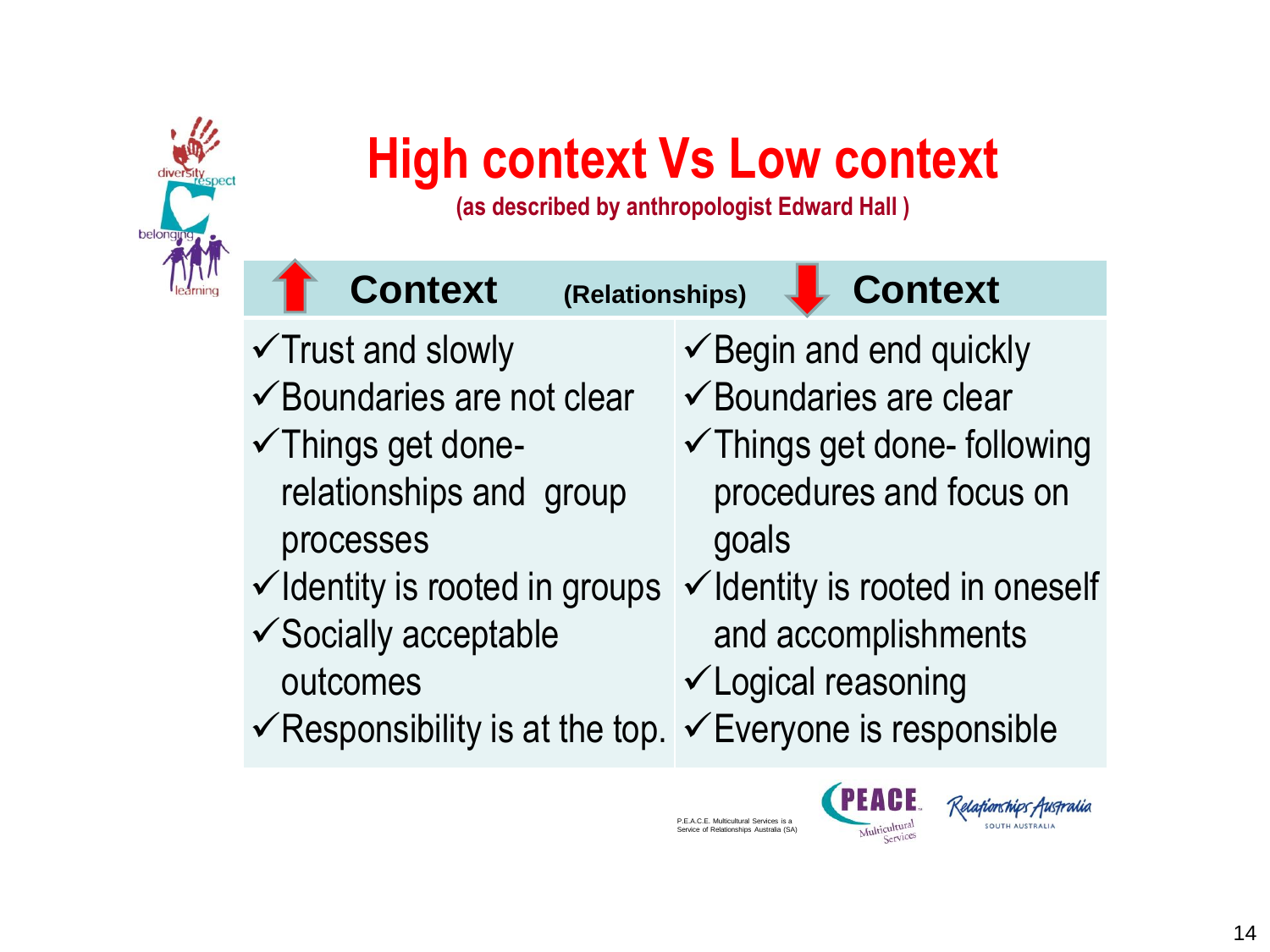

## **High context Vs Low context**

**(as described by anthropologist Edward Hall )**

**Context (Relationships) Context** 

- $\checkmark$  Trust and slowly
- $\checkmark$ Boundaries are not clear
- $\checkmark$ Things get donerelationships and group processes
- 
- $\checkmark$  Socially acceptable outcomes
- $\checkmark$  Responsibility is at the top.  $\checkmark$  Everyone is responsible
- $\checkmark$  Begin and end quickly
- $\checkmark$ Boundaries are clear
- $\checkmark$ Things get done- following procedures and focus on goals
- $\checkmark$  Identity is rooted in groups  $\checkmark$  Identity is rooted in oneself and accomplishments
	- Logical reasoning
	-



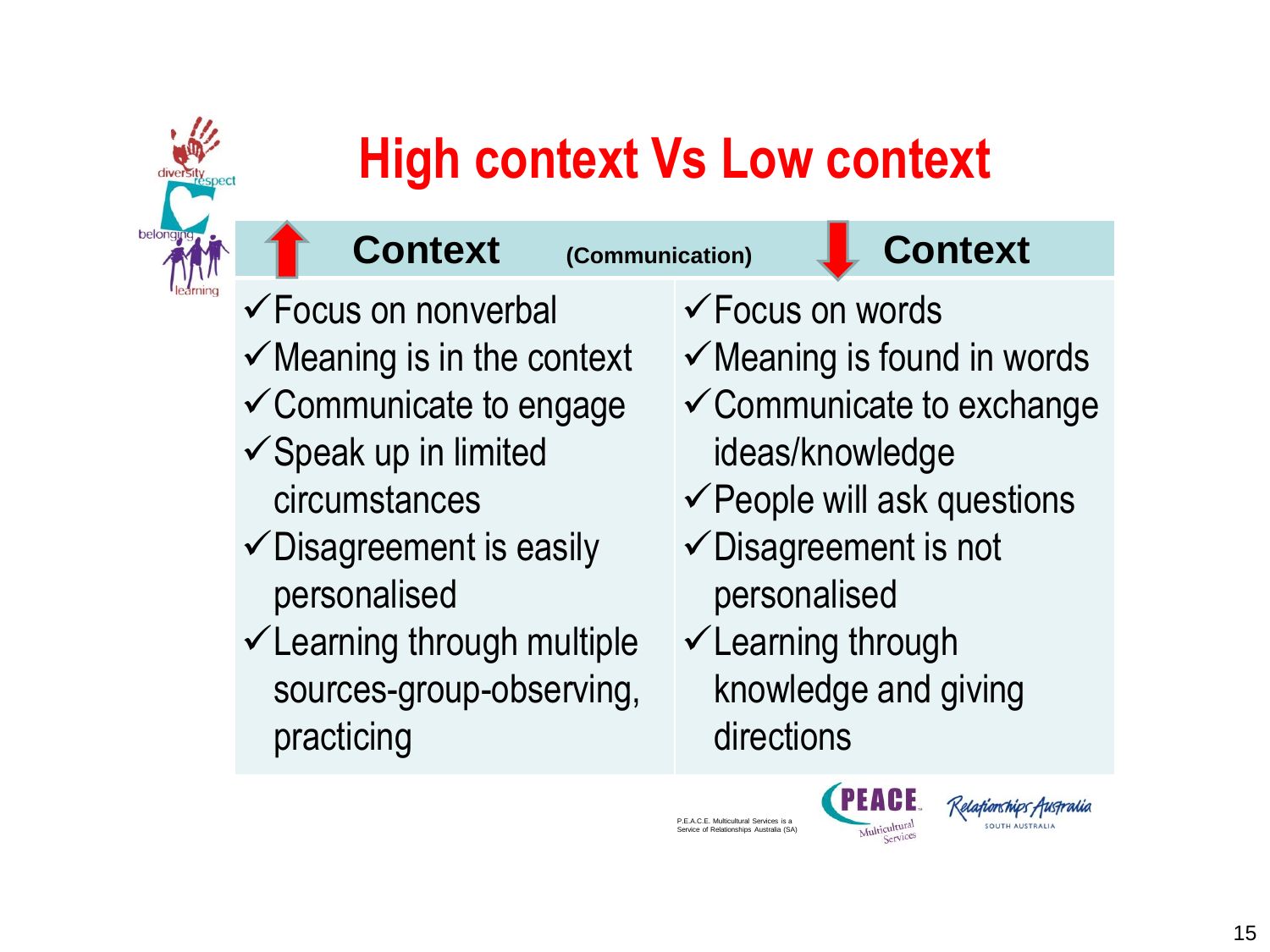## **High context Vs Low context**

**Context (Communication) Context** 

Focus on nonverbal

belongu

- $\checkmark$  Meaning is in the context
- $\checkmark$  Communicate to engage
- $\checkmark$  Speak up in limited circumstances
- $\checkmark$  Disagreement is easily personalised
- $\checkmark$  Learning through multiple sources-group-observing, practicing
- Focus on words
- $\checkmark$  Meaning is found in words
- $\checkmark$  Communicate to exchange ideas/knowledge
- $\checkmark$  People will ask questions
- $\checkmark$  Disagreement is not personalised
- Learning through knowledge and giving directions

**PEACE** 

Services

P.E.A.C.E. Multicultural Services is a Service of Relationships Australia (SA)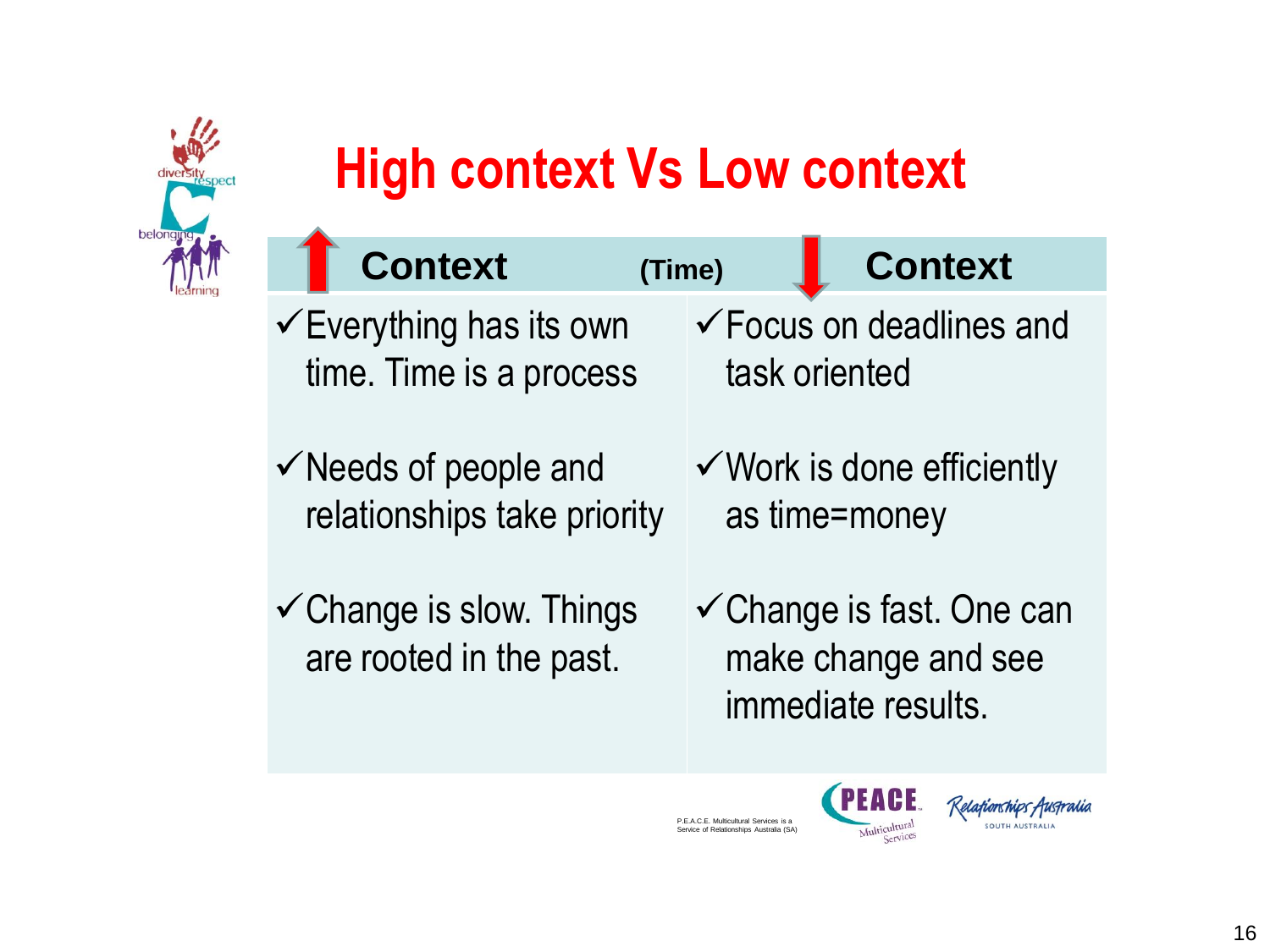

### **High context Vs Low context**

| <b>Context</b>                                                  | (Time) | <b>Context</b>                                                                    |
|-----------------------------------------------------------------|--------|-----------------------------------------------------------------------------------|
| $\checkmark$ Everything has its own<br>time. Time is a process  |        | ✔ Focus on deadlines and<br>task oriented                                         |
| $\checkmark$ Needs of people and<br>relationships take priority |        | $\checkmark$ Work is done efficiently<br>as time=money                            |
| $\checkmark$ Change is slow. Things<br>are rooted in the past.  |        | $\checkmark$ Change is fast. One can<br>make change and see<br>immediate results. |
|                                                                 |        | $\sim$ $\sim$                                                                     |

P.E.A.C.E. Multicultural Services is a Service of Relationships Australia (SA)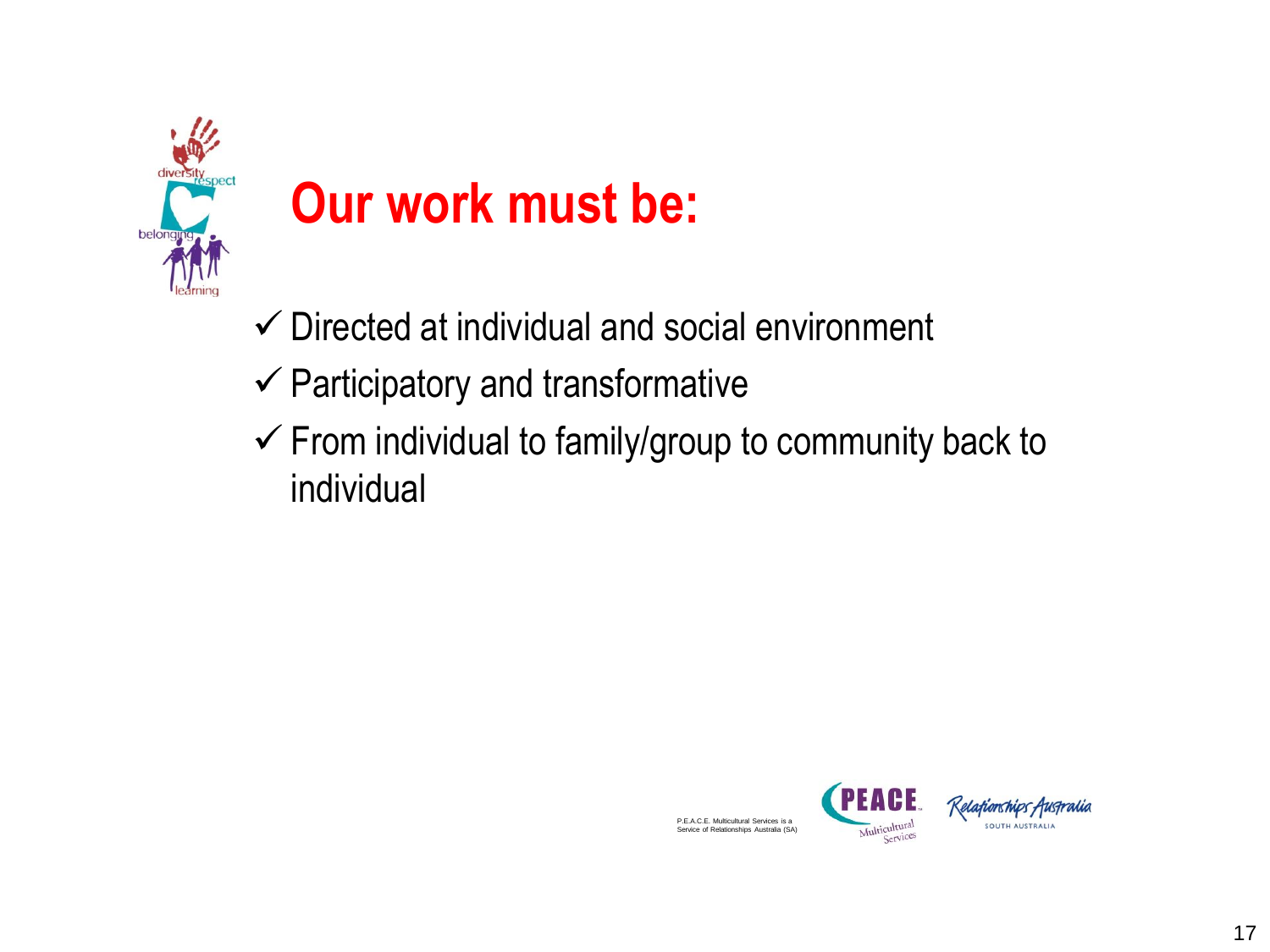

### **Our work must be:**

- $\checkmark$  Directed at individual and social environment
- $\checkmark$  Participatory and transformative
- $\checkmark$  From individual to family/group to community back to individual



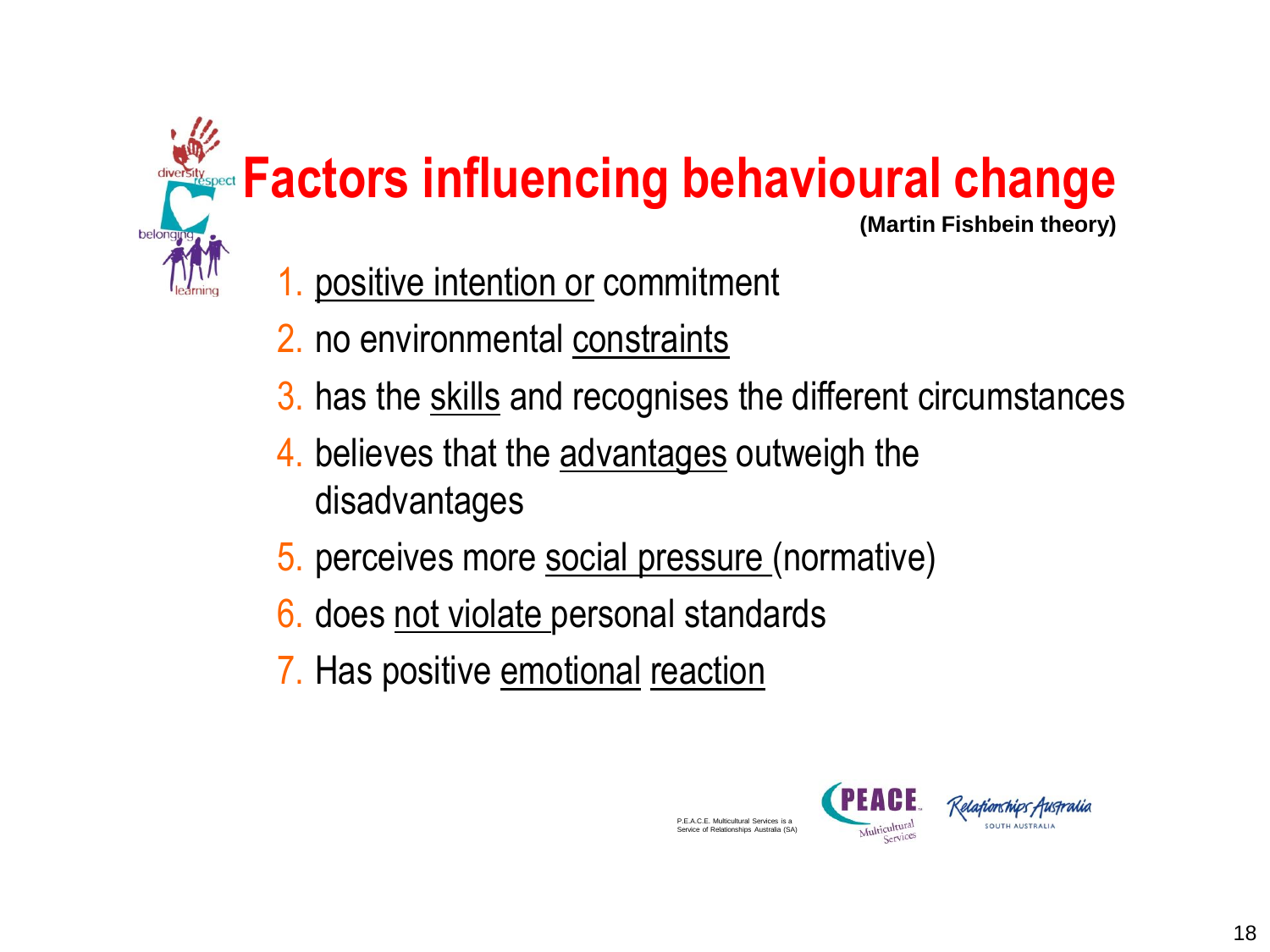# **Factors influencing behavioural change**

- **(Martin Fishbein theory)**
- 1. positive intention or commitment
- 2. no environmental constraints
- 3. has the skills and recognises the different circumstances
- 4. believes that the advantages outweigh the disadvantages
- 5. perceives more social pressure (normative)
- 6. does not violate personal standards
- 7. Has positive emotional reaction

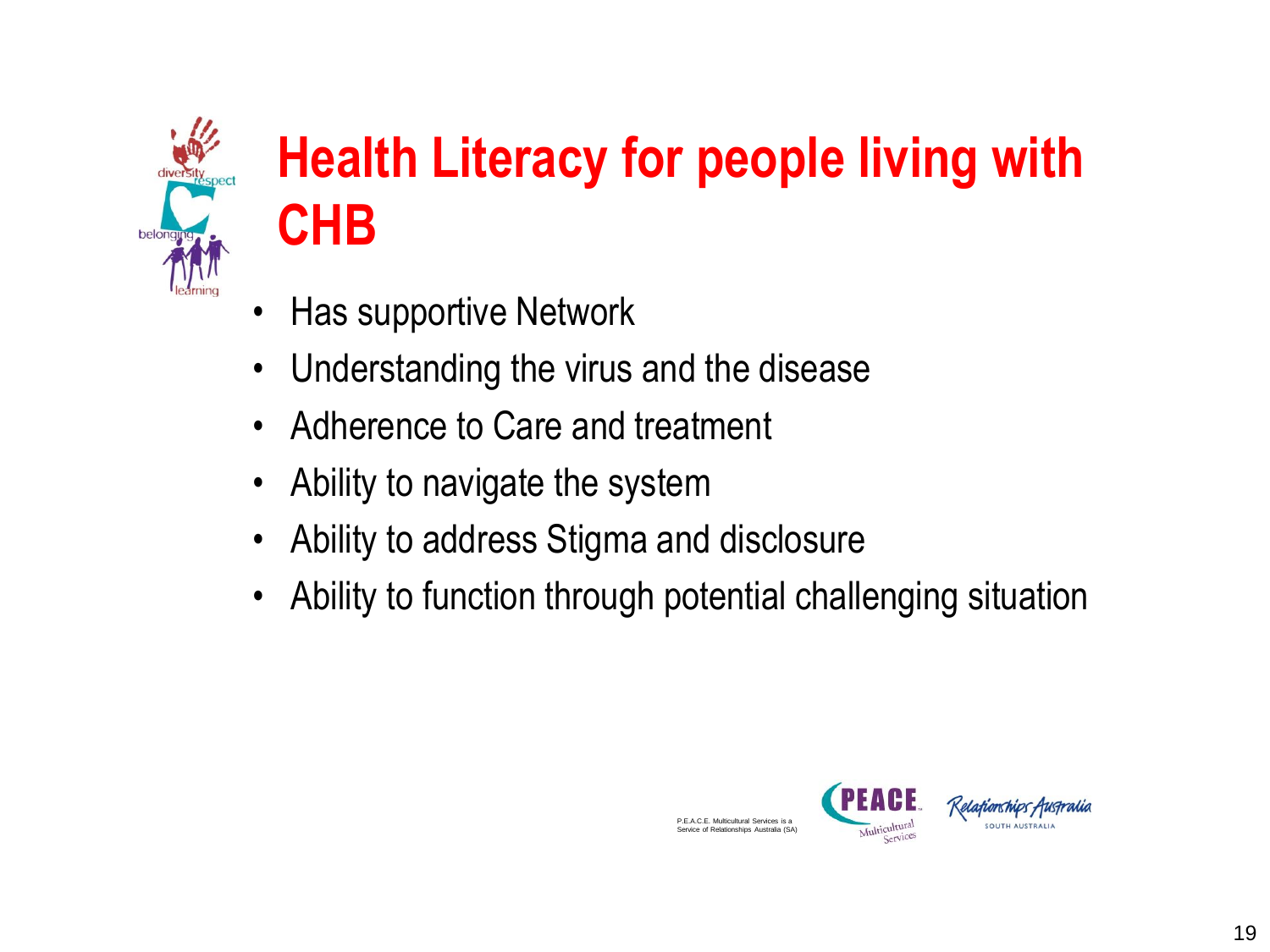

## **Health Literacy for people living with CHB**

- **Has supportive Network**
- Understanding the virus and the disease
- Adherence to Care and treatment
- Ability to navigate the system
- Ability to address Stigma and disclosure
- Ability to function through potential challenging situation



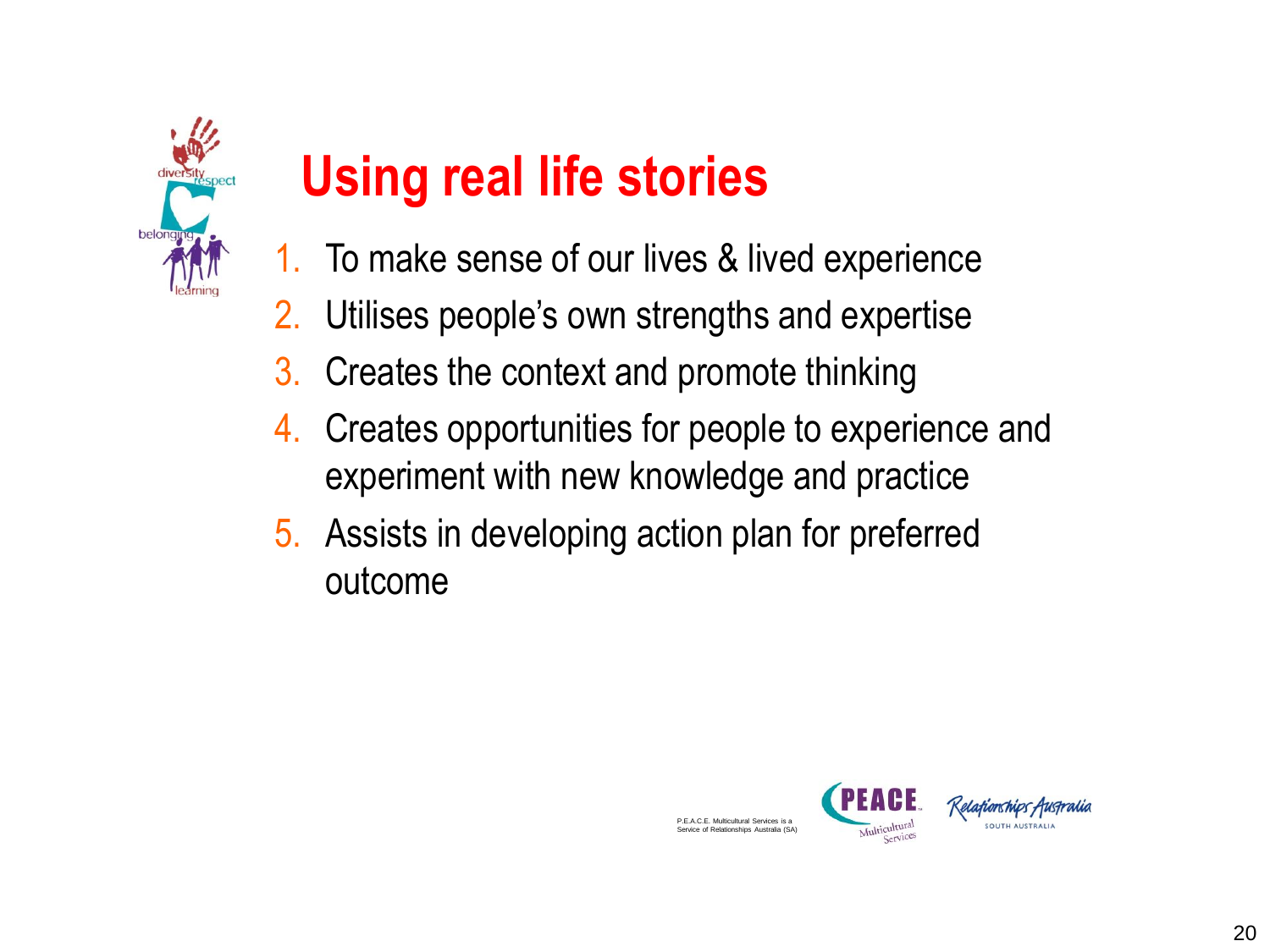

## **Using real life stories**

- To make sense of our lives & lived experience
- 2. Utilises people's own strengths and expertise
- 3. Creates the context and promote thinking
- 4. Creates opportunities for people to experience and experiment with new knowledge and practice
- 5. Assists in developing action plan for preferred outcome



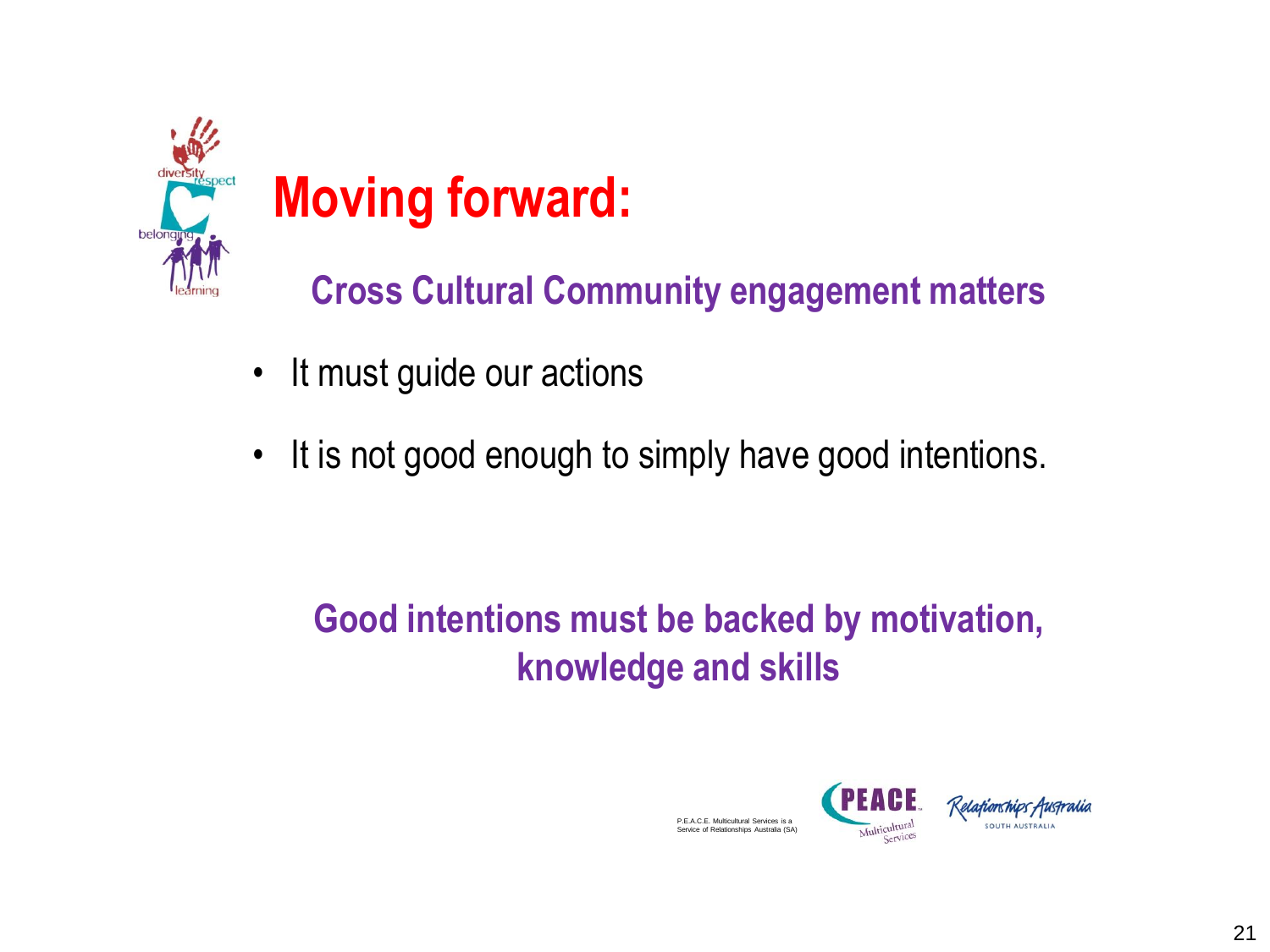

## **Moving forward:**

**Cross Cultural Community engagement matters**

- It must guide our actions
- It is not good enough to simply have good intentions.

#### **Good intentions must be backed by motivation, knowledge and skills**

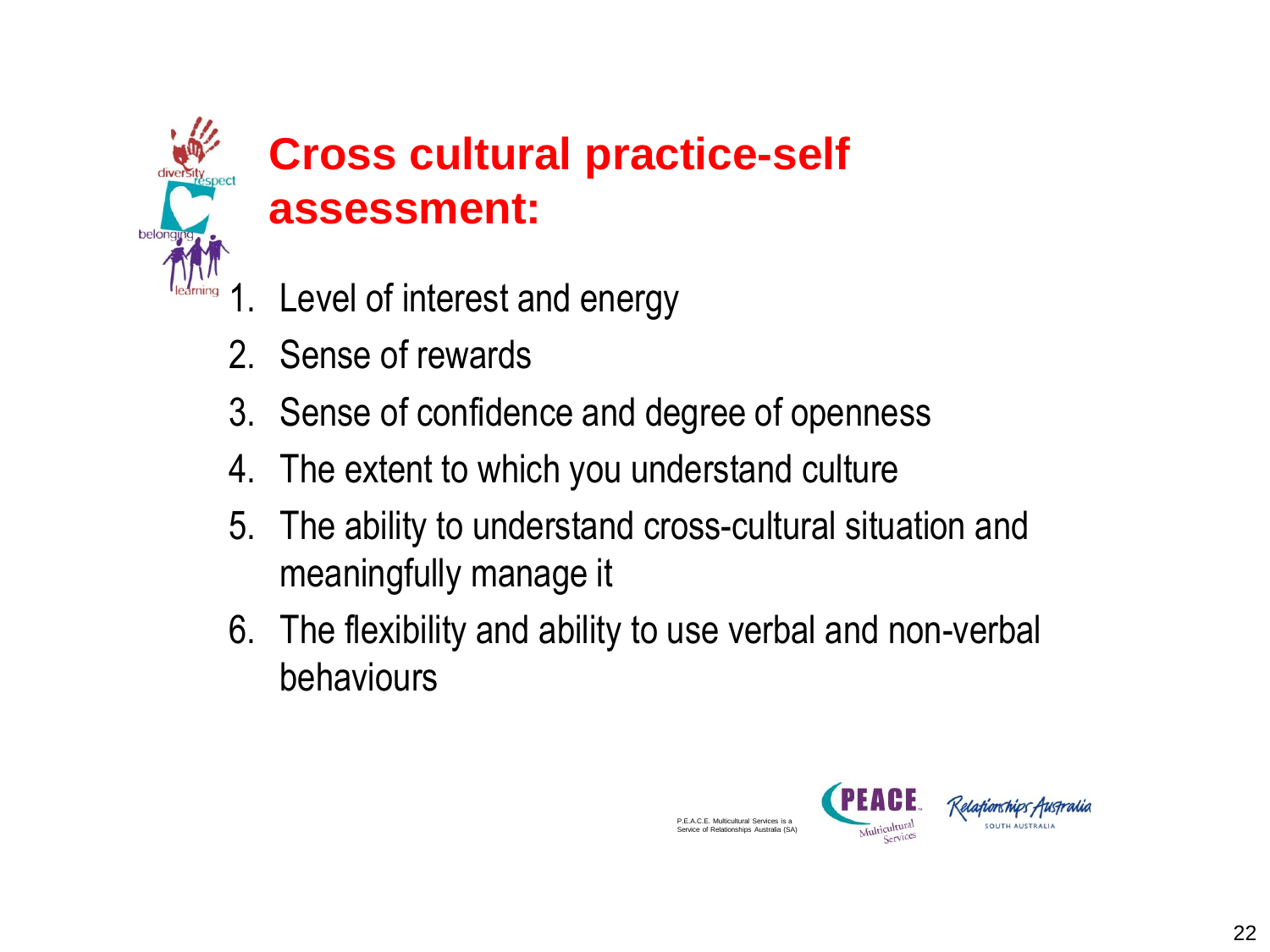

#### **Cross cultural practice-self assessment:**

- Level of interest and energy
- 2. Sense of rewards
- 3. Sense of confidence and degree of openness
- 4. The extent to which you understand culture
- 5. The ability to understand cross-cultural situation and meaningfully manage it
- 6. The flexibility and ability to use verbal and non-verbal behaviours

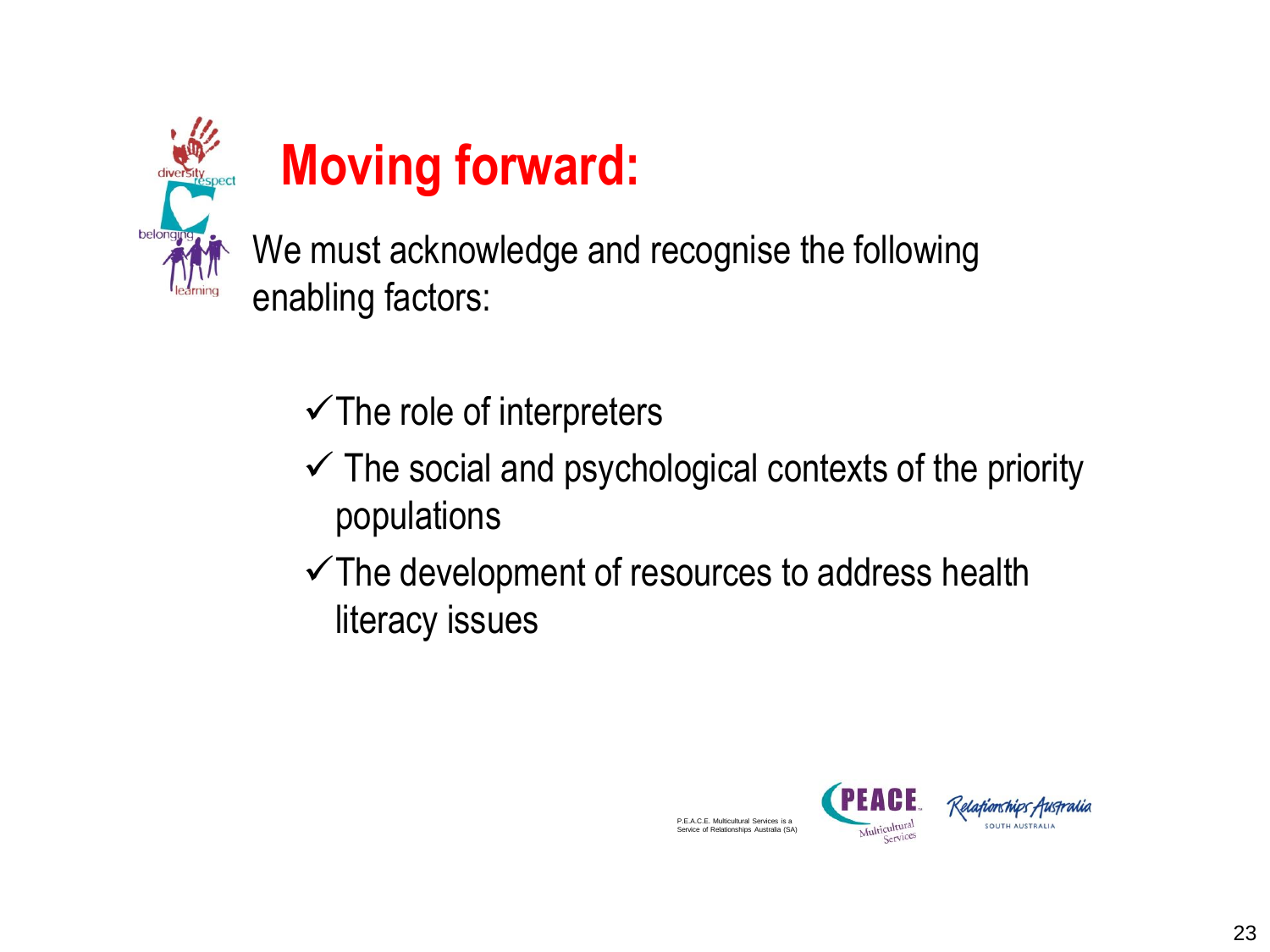

## **Moving forward:**

We must acknowledge and recognise the following enabling factors:

- $\checkmark$  The role of interpreters
- $\checkmark$  The social and psychological contexts of the priority populations
- $\checkmark$  The development of resources to address health literacy issues



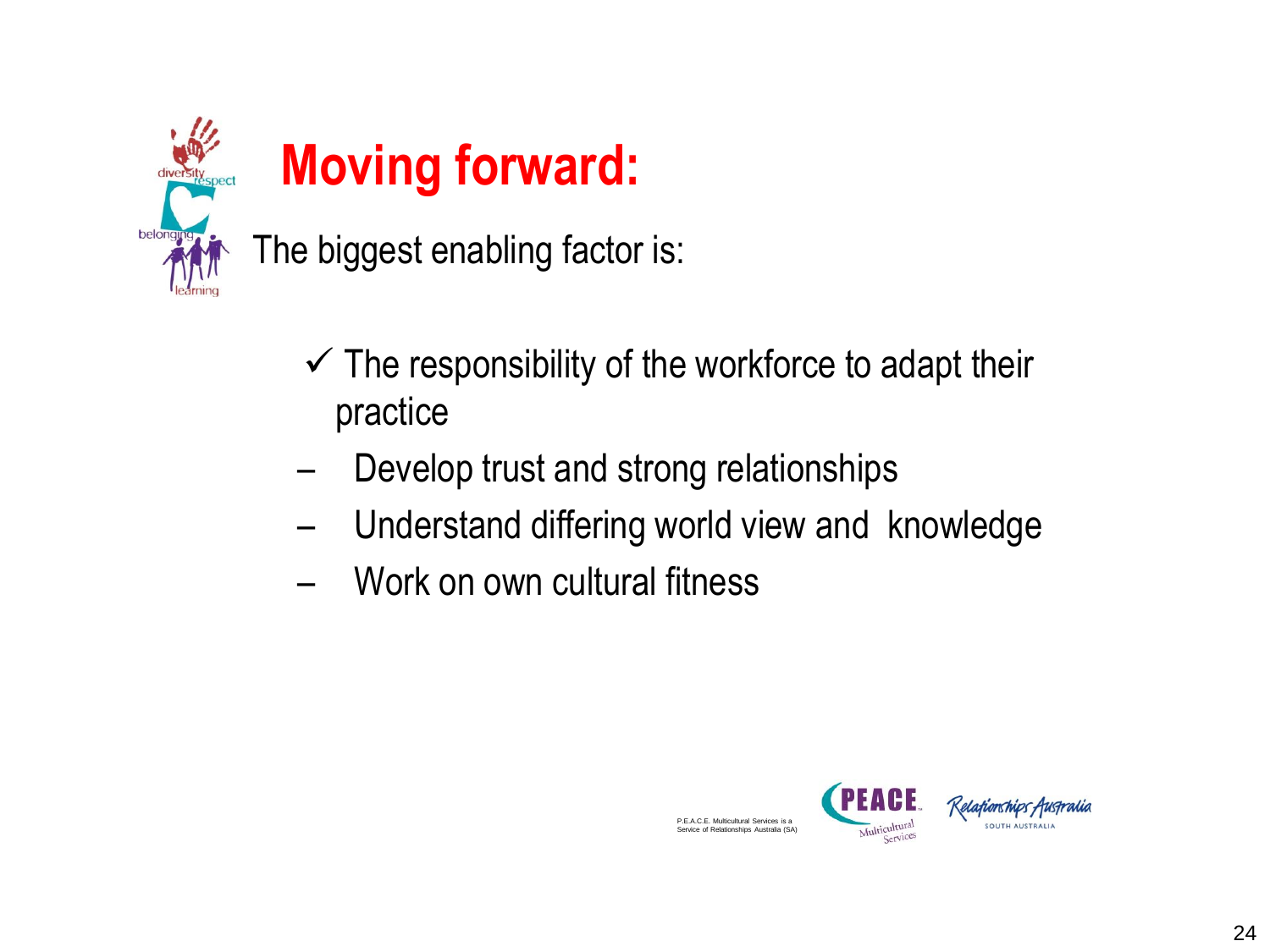

## **Moving forward:**

The biggest enabling factor is:

- $\checkmark$  The responsibility of the workforce to adapt their practice
- Develop trust and strong relationships
- Understand differing world view and knowledge
- Work on own cultural fitness

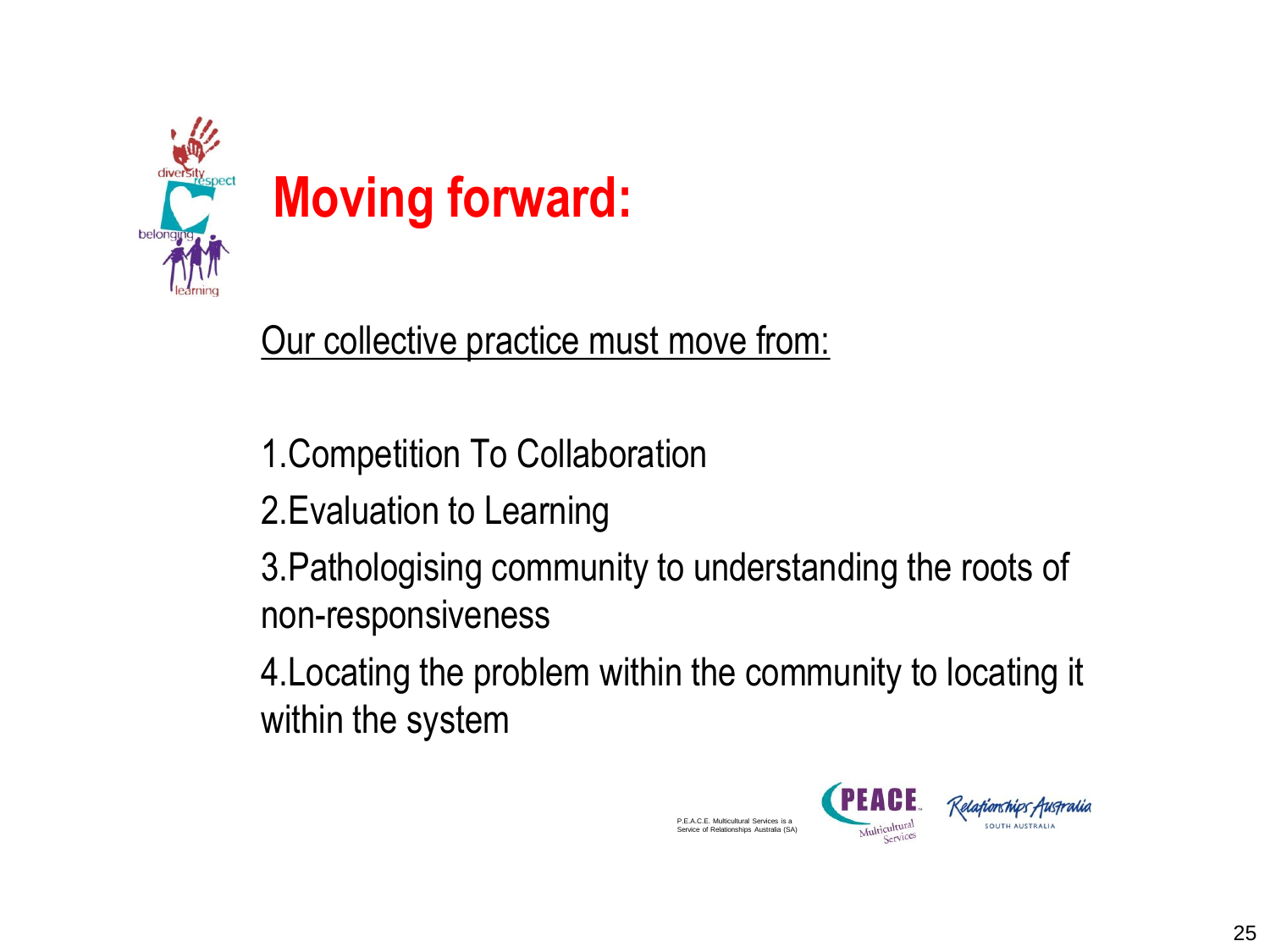

Our collective practice must move from:

1.Competition To Collaboration

2.Evaluation to Learning

3.Pathologising community to understanding the roots of non-responsiveness

4.Locating the problem within the community to locating it within the system

> **PEACE** Relationships Australia P.E.A.C.E. Multicultural Services is a SOUTH AUSTRALIA Multicultural Service of Relationships Australia (SA) Services